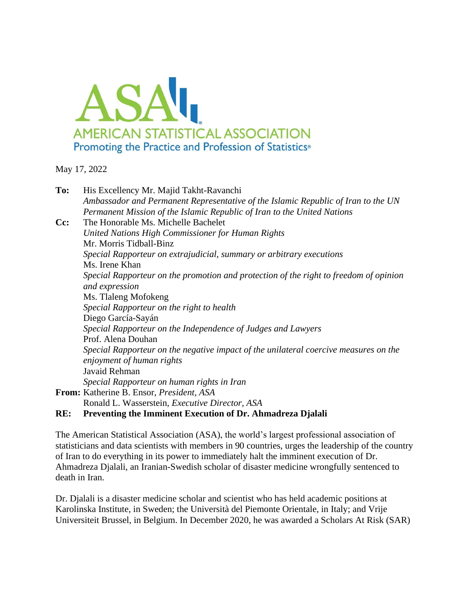

May 17, 2022

| To:    | His Excellency Mr. Majid Takht-Ravanchi                                               |
|--------|---------------------------------------------------------------------------------------|
|        | Ambassador and Permanent Representative of the Islamic Republic of Iran to the UN     |
|        | Permanent Mission of the Islamic Republic of Iran to the United Nations               |
| $Cc$ : | The Honorable Ms. Michelle Bachelet                                                   |
|        | United Nations High Commissioner for Human Rights                                     |
|        | Mr. Morris Tidball-Binz                                                               |
|        | Special Rapporteur on extrajudicial, summary or arbitrary executions                  |
|        | Ms. Irene Khan                                                                        |
|        | Special Rapporteur on the promotion and protection of the right to freedom of opinion |
|        | and expression                                                                        |
|        | Ms. Tlaleng Mofokeng                                                                  |
|        | Special Rapporteur on the right to health                                             |
|        | Diego García-Sayán                                                                    |
|        | Special Rapporteur on the Independence of Judges and Lawyers                          |
|        | Prof. Alena Douhan                                                                    |
|        | Special Rapporteur on the negative impact of the unilateral coercive measures on the  |
|        | enjoyment of human rights                                                             |
|        | Javaid Rehman                                                                         |
|        | Special Rapporteur on human rights in Iran                                            |
|        | From: Katherine B. Ensor, President, ASA                                              |
|        | Ronald L. Wasserstein, <i>Executive Director</i> , <i>ASA</i>                         |

## **RE: Preventing the Imminent Execution of Dr. Ahmadreza Djalali**

The American Statistical Association (ASA), the world's largest professional association of statisticians and data scientists with members in 90 countries, urges the leadership of the country of Iran to do everything in its power to immediately halt the imminent execution of Dr. Ahmadreza Djalali, an Iranian-Swedish scholar of disaster medicine wrongfully sentenced to death in Iran.

Dr. Djalali is a disaster medicine scholar and scientist who has held academic positions at Karolinska Institute, in Sweden; the Università del Piemonte Orientale, in Italy; and Vrije Universiteit Brussel, in Belgium. In December 2020, he was awarded a Scholars At Risk (SAR)